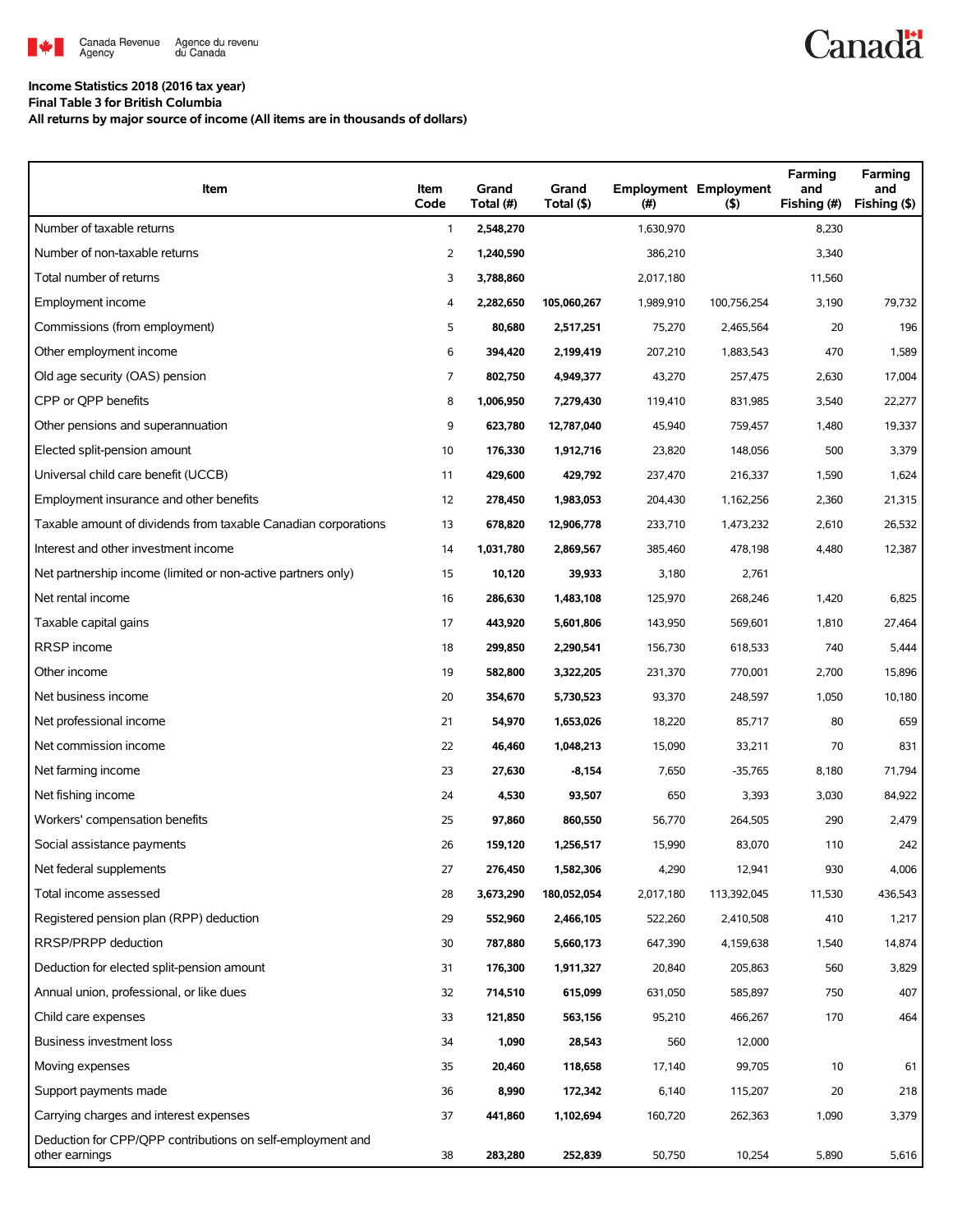

## **Income Statistics 2018 (2016 tax year)**

**Final Table 3 for British Columbia**

**All returns by major source of income (All items are in thousands of dollars)**

| Item                                                                         | Item<br>Code | Grand<br>Total (#) | Grand<br>Total (\$) | (#)       | <b>Employment Employment</b><br>(5) | Farming<br>and<br>Fishing (#) | Farming<br>and<br>Fishing (\$) |
|------------------------------------------------------------------------------|--------------|--------------------|---------------------|-----------|-------------------------------------|-------------------------------|--------------------------------|
| Number of taxable returns                                                    | $\mathbf{1}$ | 2,548,270          |                     | 1,630,970 |                                     | 8,230                         |                                |
| Number of non-taxable returns                                                | 2            | 1,240,590          |                     | 386,210   |                                     | 3,340                         |                                |
| Total number of returns                                                      | 3            | 3,788,860          |                     | 2,017,180 |                                     | 11,560                        |                                |
| Employment income                                                            | 4            | 2,282,650          | 105,060,267         | 1,989,910 | 100,756,254                         | 3,190                         | 79,732                         |
| Commissions (from employment)                                                | 5            | 80,680             | 2,517,251           | 75,270    | 2,465,564                           | 20                            | 196                            |
| Other employment income                                                      | 6            | 394,420            | 2,199,419           | 207,210   | 1,883,543                           | 470                           | 1,589                          |
| Old age security (OAS) pension                                               | 7            | 802.750            | 4,949,377           | 43,270    | 257,475                             | 2,630                         | 17,004                         |
| CPP or QPP benefits                                                          | 8            | 1,006,950          | 7,279,430           | 119,410   | 831,985                             | 3,540                         | 22,277                         |
| Other pensions and superannuation                                            | 9            | 623,780            | 12,787,040          | 45,940    | 759,457                             | 1,480                         | 19,337                         |
| Elected split-pension amount                                                 | 10           | 176,330            | 1,912,716           | 23,820    | 148,056                             | 500                           | 3,379                          |
| Universal child care benefit (UCCB)                                          | 11           | 429,600            | 429,792             | 237,470   | 216,337                             | 1,590                         | 1,624                          |
| Employment insurance and other benefits                                      | 12           | 278,450            | 1,983,053           | 204,430   | 1,162,256                           | 2,360                         | 21,315                         |
| Taxable amount of dividends from taxable Canadian corporations               | 13           | 678,820            | 12,906,778          | 233,710   | 1,473,232                           | 2,610                         | 26,532                         |
| Interest and other investment income                                         | 14           | 1,031,780          | 2,869,567           | 385,460   | 478,198                             | 4,480                         | 12,387                         |
| Net partnership income (limited or non-active partners only)                 | 15           | 10,120             | 39,933              | 3,180     | 2,761                               |                               |                                |
| Net rental income                                                            | 16           | 286,630            | 1,483,108           | 125,970   | 268.246                             | 1,420                         | 6,825                          |
| Taxable capital gains                                                        | 17           | 443,920            | 5,601,806           | 143,950   | 569,601                             | 1,810                         | 27,464                         |
| <b>RRSP</b> income                                                           | 18           | 299,850            | 2,290,541           | 156,730   | 618,533                             | 740                           | 5,444                          |
| Other income                                                                 | 19           | 582,800            | 3,322,205           | 231,370   | 770,001                             | 2,700                         | 15,896                         |
| Net business income                                                          | 20           | 354,670            | 5,730,523           | 93,370    | 248,597                             | 1,050                         | 10,180                         |
| Net professional income                                                      | 21           | 54,970             | 1,653,026           | 18,220    | 85,717                              | 80                            | 659                            |
| Net commission income                                                        | 22           | 46,460             | 1,048,213           | 15,090    | 33,211                              | 70                            | 831                            |
| Net farming income                                                           | 23           | 27,630             | $-8,154$            | 7,650     | $-35,765$                           | 8,180                         | 71,794                         |
| Net fishing income                                                           | 24           | 4,530              | 93,507              | 650       | 3,393                               | 3,030                         | 84,922                         |
| Workers' compensation benefits                                               | 25           | 97,860             | 860,550             | 56,770    | 264,505                             | 290                           | 2,479                          |
| Social assistance payments                                                   | 26           | 159,120            | 1,256,517           | 15,990    | 83,070                              | 110                           | 242                            |
| Net federal supplements                                                      | 27           | 276,450            | 1,582,306           | 4,290     | 12,941                              | 930                           | 4,006                          |
| Total income assessed                                                        | 28           | 3,673,290          | 180,052,054         | 2,017,180 | 113,392,045                         | 11,530                        | 436,543                        |
| Registered pension plan (RPP) deduction                                      | 29           | 552,960            | 2,466,105           | 522,260   | 2,410,508                           | 410                           | 1,217                          |
| RRSP/PRPP deduction                                                          | 30           | 787,880            | 5,660,173           | 647,390   | 4,159,638                           | 1,540                         | 14,874                         |
| Deduction for elected split-pension amount                                   | 31           | 176,300            | 1,911,327           | 20,840    | 205,863                             | 560                           | 3,829                          |
| Annual union, professional, or like dues                                     | 32           | 714,510            | 615,099             | 631,050   | 585,897                             | 750                           | 407                            |
| Child care expenses                                                          | 33           | 121,850            | 563,156             | 95,210    | 466,267                             | 170                           | 464                            |
| Business investment loss                                                     | 34           | 1,090              | 28,543              | 560       | 12,000                              |                               |                                |
| Moving expenses                                                              | 35           | 20,460             | 118,658             | 17,140    | 99,705                              | 10                            | 61                             |
| Support payments made                                                        | 36           | 8,990              | 172,342             | 6,140     | 115,207                             | 20                            | 218                            |
| Carrying charges and interest expenses                                       | 37           | 441,860            | 1,102,694           | 160,720   | 262,363                             | 1,090                         | 3,379                          |
| Deduction for CPP/QPP contributions on self-employment and<br>other earnings | 38           | 283,280            | 252,839             | 50,750    | 10,254                              | 5,890                         | 5,616                          |

**Canadä**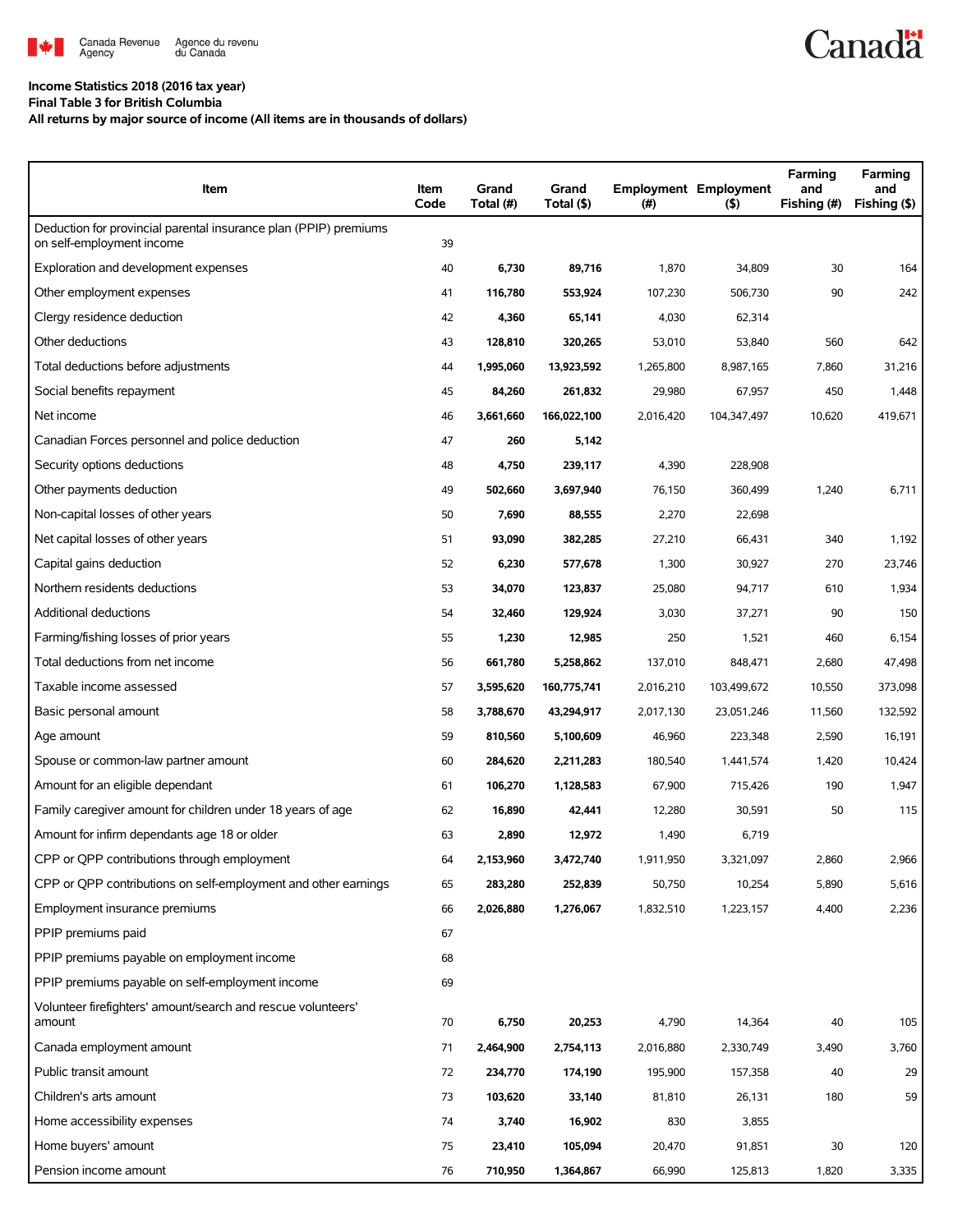

## **Income Statistics 2018 (2016 tax year)**

**Final Table 3 for British Columbia**

**All returns by major source of income (All items are in thousands of dollars)**

| Item                                                                                          | Item<br>Code | Grand<br>Total (#) | Grand<br>Total (\$) | (#)       | <b>Employment Employment</b><br>(5)<br>Fishing (#) |        | Farming<br>and<br>Fishing (\$) |
|-----------------------------------------------------------------------------------------------|--------------|--------------------|---------------------|-----------|----------------------------------------------------|--------|--------------------------------|
| Deduction for provincial parental insurance plan (PPIP) premiums<br>on self-employment income | 39           |                    |                     |           |                                                    |        |                                |
| Exploration and development expenses                                                          | 40           | 6,730              | 89,716              | 1,870     | 34,809                                             | 30     | 164                            |
| Other employment expenses                                                                     | 41           | 116,780            | 553,924             | 107,230   | 506,730                                            | 90     | 242                            |
| Clergy residence deduction                                                                    | 42           | 4,360              | 65,141              | 4,030     | 62,314                                             |        |                                |
| Other deductions                                                                              | 43           | 128,810            | 320,265             | 53,010    | 53,840                                             | 560    | 642                            |
| Total deductions before adjustments                                                           | 44           | 1,995,060          | 13,923,592          | 1,265,800 | 8,987,165                                          | 7,860  | 31,216                         |
| Social benefits repayment                                                                     | 45           | 84,260             | 261,832             | 29,980    | 67,957                                             | 450    | 1,448                          |
| Net income                                                                                    | 46           | 3,661,660          | 166,022,100         | 2,016,420 | 104,347,497                                        | 10,620 | 419,671                        |
| Canadian Forces personnel and police deduction                                                | 47           | 260                | 5,142               |           |                                                    |        |                                |
| Security options deductions                                                                   | 48           | 4,750              | 239.117             | 4,390     | 228,908                                            |        |                                |
| Other payments deduction                                                                      | 49           | 502,660            | 3,697,940           | 76,150    | 360,499                                            | 1,240  | 6,711                          |
| Non-capital losses of other years                                                             | 50           | 7,690              | 88,555              | 2,270     | 22,698                                             |        |                                |
| Net capital losses of other years                                                             | 51           | 93,090             | 382,285             | 27,210    | 66,431                                             | 340    | 1,192                          |
| Capital gains deduction                                                                       | 52           | 6,230              | 577,678             | 1,300     | 30,927                                             | 270    | 23,746                         |
| Northern residents deductions                                                                 | 53           | 34,070             | 123,837             | 25,080    | 94,717                                             | 610    | 1,934                          |
| Additional deductions                                                                         | 54           | 32,460             | 129,924             | 3,030     | 37,271                                             | 90     | 150                            |
| Farming/fishing losses of prior years                                                         | 55           | 1,230              | 12,985              | 250       | 1,521                                              | 460    | 6,154                          |
| Total deductions from net income                                                              | 56           | 661,780            | 5,258,862           | 137,010   | 848,471                                            | 2,680  | 47,498                         |
| Taxable income assessed                                                                       | 57           | 3,595,620          | 160,775,741         | 2,016,210 | 103,499,672                                        | 10,550 | 373,098                        |
| Basic personal amount                                                                         | 58           | 3,788,670          | 43,294,917          | 2,017,130 | 23,051,246                                         | 11,560 | 132,592                        |
| Age amount                                                                                    | 59           | 810,560            | 5,100,609           | 46,960    | 223,348                                            | 2,590  | 16,191                         |
| Spouse or common-law partner amount                                                           | 60           | 284,620            | 2,211,283           | 180,540   | 1,441,574                                          | 1,420  | 10,424                         |
| Amount for an eligible dependant                                                              | 61           | 106,270            | 1,128,583           | 67,900    | 715,426                                            | 190    | 1,947                          |
| Family caregiver amount for children under 18 years of age                                    | 62           | 16,890             | 42,441              | 12,280    | 30,591                                             | 50     | 115                            |
| Amount for infirm dependants age 18 or older                                                  | 63           | 2,890              | 12,972              | 1,490     | 6,719                                              |        |                                |
| CPP or QPP contributions through employment                                                   | 64           | 2,153,960          | 3,472,740           | 1,911,950 | 3,321,097                                          | 2,860  | 2,966                          |
| CPP or QPP contributions on self-employment and other earnings                                | 65           | 283,280            | 252,839             | 50,750    | 10,254                                             | 5,890  | 5,616                          |
| Employment insurance premiums                                                                 | 66           | 2,026,880          | 1,276,067           | 1,832,510 | 1,223,157                                          | 4,400  | 2,236                          |
| PPIP premiums paid                                                                            | 67           |                    |                     |           |                                                    |        |                                |
| PPIP premiums payable on employment income                                                    | 68           |                    |                     |           |                                                    |        |                                |
| PPIP premiums payable on self-employment income                                               | 69           |                    |                     |           |                                                    |        |                                |
| Volunteer firefighters' amount/search and rescue volunteers'<br>amount                        | 70           | 6,750              | 20,253              | 4,790     | 14,364                                             | 40     | 105                            |
| Canada employment amount                                                                      | 71           | 2,464,900          | 2,754,113           | 2,016,880 | 2,330,749                                          | 3,490  | 3,760                          |
| Public transit amount                                                                         | 72           | 234,770            | 174,190             | 195,900   | 157,358                                            | 40     | 29                             |
| Children's arts amount                                                                        | 73           | 103,620            | 33,140              | 81,810    | 26,131                                             | 180    | 59                             |
| Home accessibility expenses                                                                   | 74           | 3,740              | 16,902              | 830       | 3,855                                              |        |                                |
| Home buyers' amount                                                                           | 75           | 23,410             | 105,094             | 20,470    | 91,851                                             | 30     | 120                            |
| Pension income amount                                                                         | 76           | 710,950            | 1,364,867           | 66,990    | 125,813                                            | 1,820  | 3,335                          |

**Canadä**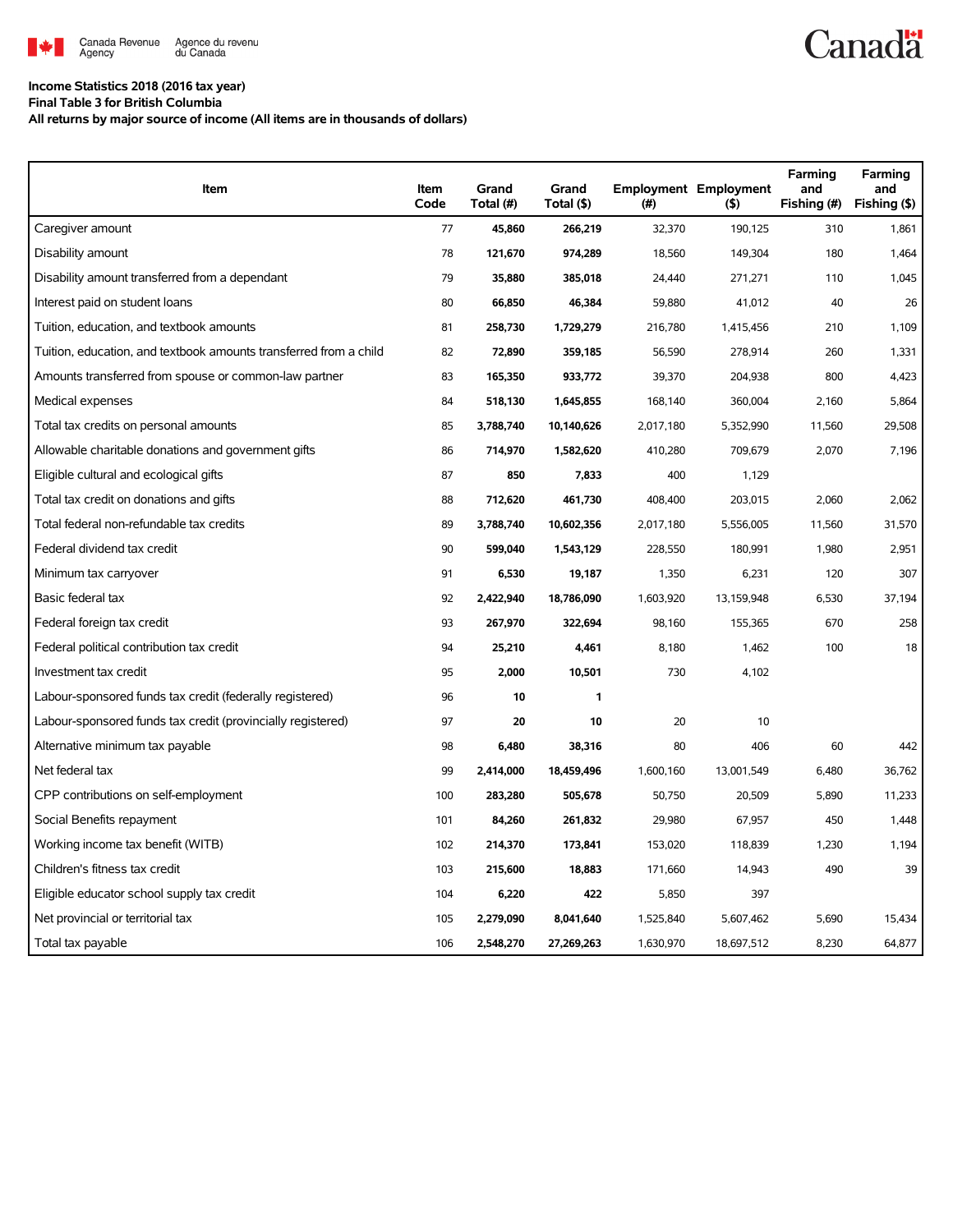

## **Income Statistics 2018 (2016 tax year)**

**Final Table 3 for British Columbia**

**All returns by major source of income (All items are in thousands of dollars)**

| Item                                                              | Item<br>Code | Grand<br>Total (#) | Grand<br>Total (\$) | (#)       | <b>Employment Employment</b><br>(5) | Farming<br>and<br>Fishing (#) | Farming<br>and<br>Fishing (\$) |
|-------------------------------------------------------------------|--------------|--------------------|---------------------|-----------|-------------------------------------|-------------------------------|--------------------------------|
| Caregiver amount                                                  | 77           | 45,860             | 266,219             | 32,370    | 190,125                             | 310                           | 1,861                          |
| Disability amount                                                 | 78           | 121,670            | 974,289             | 18,560    | 149,304                             | 180                           | 1,464                          |
| Disability amount transferred from a dependant                    | 79           | 35,880             | 385,018             | 24,440    | 271,271                             | 110                           | 1,045                          |
| Interest paid on student loans                                    | 80           | 66,850             | 46,384              | 59,880    | 41,012                              | 40                            | 26                             |
| Tuition, education, and textbook amounts                          | 81           | 258,730            | 1,729,279           | 216,780   | 1,415,456                           | 210                           | 1,109                          |
| Tuition, education, and textbook amounts transferred from a child | 82           | 72,890             | 359,185             | 56,590    | 278,914                             | 260                           | 1,331                          |
| Amounts transferred from spouse or common-law partner             | 83           | 165,350            | 933,772             | 39,370    | 204,938                             | 800                           | 4,423                          |
| Medical expenses                                                  | 84           | 518,130            | 1,645,855           | 168,140   | 360.004                             | 2,160                         | 5.864                          |
| Total tax credits on personal amounts                             | 85           | 3,788,740          | 10,140,626          | 2,017,180 | 5,352,990                           | 11,560                        | 29,508                         |
| Allowable charitable donations and government gifts               | 86           | 714,970            | 1,582,620           | 410,280   | 709,679                             | 2,070                         | 7,196                          |
| Eligible cultural and ecological gifts                            | 87           | 850                | 7,833               | 400       | 1,129                               |                               |                                |
| Total tax credit on donations and gifts                           | 88           | 712,620            | 461,730             | 408,400   | 203,015                             | 2,060                         | 2,062                          |
| Total federal non-refundable tax credits                          | 89           | 3,788,740          | 10,602,356          | 2,017,180 | 5,556,005                           | 11,560                        | 31,570                         |
| Federal dividend tax credit                                       | 90           | 599,040            | 1,543,129           | 228,550   | 180,991                             | 1,980                         | 2,951                          |
| Minimum tax carryover                                             | 91           | 6,530              | 19,187              | 1,350     | 6,231                               | 120                           | 307                            |
| Basic federal tax                                                 | 92           | 2,422,940          | 18,786,090          | 1,603,920 | 13,159,948                          | 6,530                         | 37,194                         |
| Federal foreign tax credit                                        | 93           | 267,970            | 322,694             | 98,160    | 155,365                             | 670                           | 258                            |
| Federal political contribution tax credit                         | 94           | 25,210             | 4,461               | 8,180     | 1,462                               | 100                           | 18                             |
| Investment tax credit                                             | 95           | 2,000              | 10,501              | 730       | 4,102                               |                               |                                |
| Labour-sponsored funds tax credit (federally registered)          | 96           | 10                 | 1                   |           |                                     |                               |                                |
| Labour-sponsored funds tax credit (provincially registered)       | 97           | 20                 | 10                  | 20        | 10                                  |                               |                                |
| Alternative minimum tax payable                                   | 98           | 6,480              | 38,316              | 80        | 406                                 | 60                            | 442                            |
| Net federal tax                                                   | 99           | 2,414,000          | 18,459,496          | 1,600,160 | 13,001,549                          | 6,480                         | 36,762                         |
| CPP contributions on self-employment                              | 100          | 283,280            | 505,678             | 50,750    | 20,509                              | 5,890                         | 11,233                         |
| Social Benefits repayment                                         | 101          | 84,260             | 261,832             | 29,980    | 67,957                              | 450                           | 1,448                          |
| Working income tax benefit (WITB)                                 | 102          | 214,370            | 173,841             | 153,020   | 118,839                             | 1,230                         | 1,194                          |
| Children's fitness tax credit                                     | 103          | 215,600            | 18,883              | 171,660   | 14,943                              | 490                           | 39                             |
| Eligible educator school supply tax credit                        | 104          | 6,220              | 422                 | 5,850     | 397                                 |                               |                                |
| Net provincial or territorial tax                                 | 105          | 2,279,090          | 8,041,640           | 1,525,840 | 5,607,462                           | 5,690                         | 15,434                         |
| Total tax payable                                                 | 106          | 2,548,270          | 27,269,263          | 1,630,970 | 18,697,512                          | 8,230                         | 64,877                         |

**Canadä**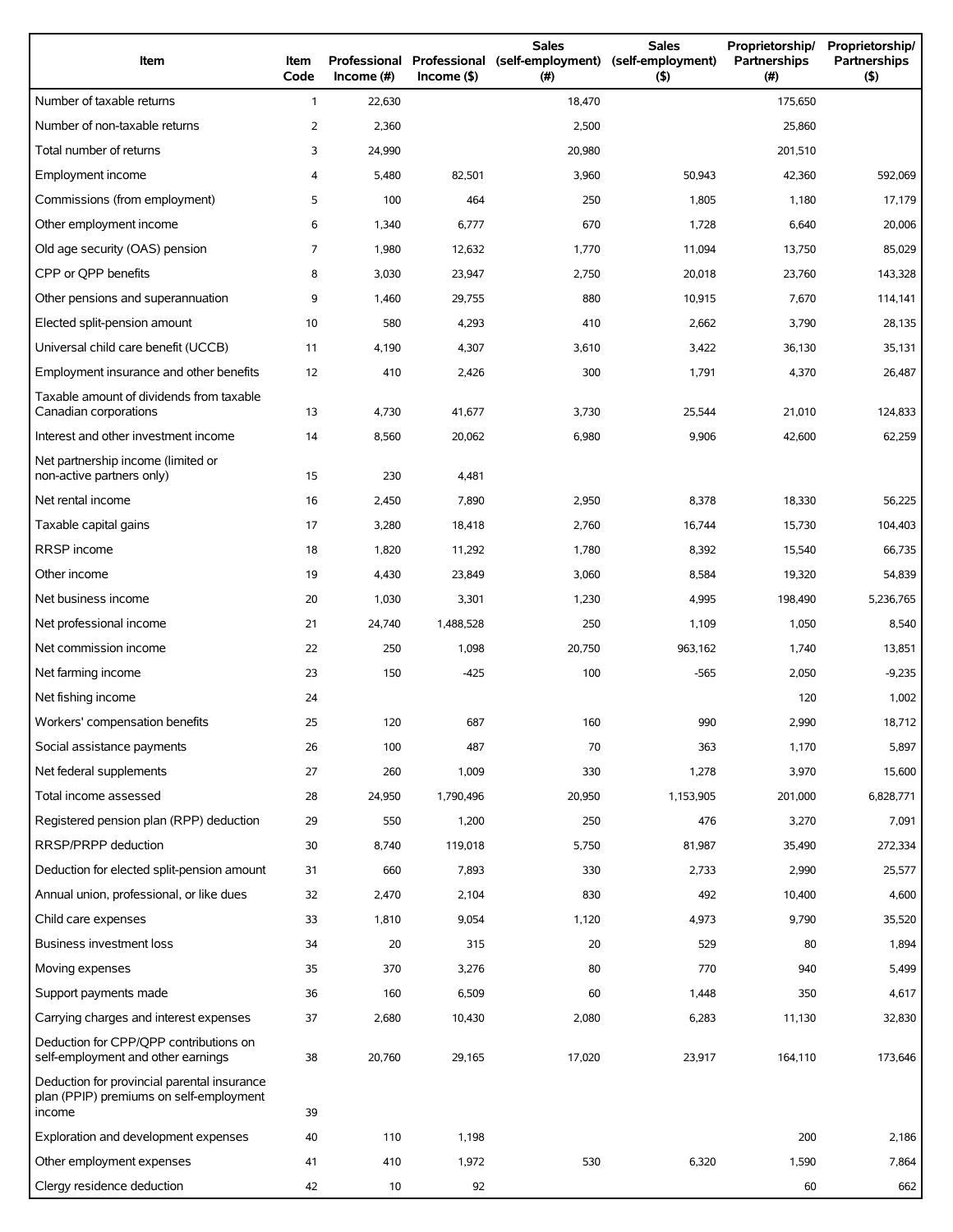| Item                                                                                             | Item<br>Code | Professional<br>Income (#) | $Income($ \$) | <b>Sales</b><br>Professional (self-employment)<br>(# ) | <b>Sales</b><br>(self-employment)<br>(5) | Proprietorship/<br>Partnerships<br>(# ) | Proprietorship/<br>Partnerships<br>(5) |
|--------------------------------------------------------------------------------------------------|--------------|----------------------------|---------------|--------------------------------------------------------|------------------------------------------|-----------------------------------------|----------------------------------------|
| Number of taxable returns                                                                        | $\mathbf{1}$ | 22,630                     |               | 18,470                                                 |                                          | 175,650                                 |                                        |
| Number of non-taxable returns                                                                    | 2            | 2,360                      |               | 2,500                                                  |                                          | 25,860                                  |                                        |
| Total number of returns                                                                          | 3            | 24,990                     |               | 20,980                                                 |                                          | 201,510                                 |                                        |
| Employment income                                                                                | 4            | 5,480                      | 82,501        | 3,960                                                  | 50,943                                   | 42,360                                  | 592,069                                |
| Commissions (from employment)                                                                    | 5            | 100                        | 464           | 250                                                    | 1,805                                    | 1,180                                   | 17,179                                 |
| Other employment income                                                                          | 6            | 1,340                      | 6,777         | 670                                                    | 1,728                                    | 6,640                                   | 20,006                                 |
| Old age security (OAS) pension                                                                   | 7            | 1,980                      | 12,632        | 1,770                                                  | 11,094                                   | 13,750                                  | 85,029                                 |
| CPP or OPP benefits                                                                              | 8            | 3,030                      | 23,947        | 2,750                                                  | 20,018                                   | 23,760                                  | 143,328                                |
| Other pensions and superannuation                                                                | 9            | 1,460                      | 29,755        | 880                                                    | 10,915                                   | 7,670                                   | 114,141                                |
| Elected split-pension amount                                                                     | 10           | 580                        | 4,293         | 410                                                    | 2,662                                    | 3,790                                   | 28,135                                 |
| Universal child care benefit (UCCB)                                                              | 11           | 4,190                      | 4,307         | 3,610                                                  | 3,422                                    | 36,130                                  | 35.131                                 |
| Employment insurance and other benefits                                                          | 12           | 410                        | 2,426         | 300                                                    | 1,791                                    | 4,370                                   | 26,487                                 |
| Taxable amount of dividends from taxable<br>Canadian corporations                                | 13           | 4,730                      | 41,677        | 3,730                                                  | 25,544                                   | 21,010                                  | 124,833                                |
| Interest and other investment income                                                             | 14           | 8,560                      | 20,062        | 6,980                                                  | 9,906                                    | 42,600                                  | 62,259                                 |
| Net partnership income (limited or<br>non-active partners only)                                  | 15           | 230                        | 4,481         |                                                        |                                          |                                         |                                        |
| Net rental income                                                                                | 16           | 2,450                      | 7,890         | 2,950                                                  | 8,378                                    | 18,330                                  | 56,225                                 |
| Taxable capital gains                                                                            | 17           | 3,280                      | 18,418        | 2,760                                                  | 16,744                                   | 15,730                                  | 104,403                                |
| RRSP income                                                                                      | 18           | 1,820                      | 11,292        | 1,780                                                  | 8,392                                    | 15,540                                  | 66,735                                 |
| Other income                                                                                     | 19           | 4,430                      | 23,849        | 3,060                                                  | 8,584                                    | 19,320                                  | 54,839                                 |
| Net business income                                                                              | 20           | 1,030                      | 3,301         | 1,230                                                  | 4,995                                    | 198,490                                 | 5,236,765                              |
| Net professional income                                                                          | 21           | 24,740                     | 1,488,528     | 250                                                    | 1,109                                    | 1,050                                   | 8,540                                  |
| Net commission income                                                                            | 22           | 250                        | 1,098         | 20,750                                                 | 963,162                                  | 1,740                                   | 13,851                                 |
| Net farming income                                                                               | 23           | 150                        | $-425$        | 100                                                    | $-565$                                   | 2,050                                   | $-9,235$                               |
| Net fishing income                                                                               | 24           |                            |               |                                                        |                                          | 120                                     | 1,002                                  |
| Workers' compensation benefits                                                                   | 25           | 120                        | 687           | 160                                                    | 990                                      | 2,990                                   | 18,712                                 |
| Social assistance payments                                                                       | 26           | 100                        | 487           | 70                                                     | 363                                      | 1,170                                   | 5,897                                  |
| Net federal supplements                                                                          | 27           | 260                        | 1,009         | 330                                                    | 1,278                                    | 3,970                                   | 15,600                                 |
| Total income assessed                                                                            | 28           | 24,950                     | 1,790,496     | 20,950                                                 | 1,153,905                                | 201,000                                 | 6,828,771                              |
| Registered pension plan (RPP) deduction                                                          | 29           | 550                        | 1,200         | 250                                                    | 476                                      | 3,270                                   | 7,091                                  |
| RRSP/PRPP deduction                                                                              | 30           | 8,740                      | 119,018       | 5,750                                                  | 81,987                                   | 35,490                                  | 272,334                                |
| Deduction for elected split-pension amount                                                       | 31           | 660                        | 7,893         | 330                                                    | 2,733                                    | 2,990                                   | 25,577                                 |
| Annual union, professional, or like dues                                                         | 32           | 2,470                      | 2,104         | 830                                                    | 492                                      | 10,400                                  | 4,600                                  |
| Child care expenses                                                                              | 33           | 1,810                      | 9,054         | 1,120                                                  | 4,973                                    | 9,790                                   | 35,520                                 |
| Business investment loss                                                                         | 34           | 20                         | 315           | 20                                                     | 529                                      | 80                                      | 1,894                                  |
| Moving expenses                                                                                  | 35           | 370                        | 3,276         | 80                                                     | 770                                      | 940                                     | 5,499                                  |
| Support payments made                                                                            | 36           | 160                        | 6,509         | 60                                                     | 1,448                                    | 350                                     | 4,617                                  |
| Carrying charges and interest expenses                                                           | 37           | 2,680                      | 10,430        | 2,080                                                  | 6,283                                    | 11,130                                  | 32,830                                 |
| Deduction for CPP/OPP contributions on<br>self-employment and other earnings                     | 38           | 20,760                     | 29,165        | 17,020                                                 | 23,917                                   | 164,110                                 | 173,646                                |
| Deduction for provincial parental insurance<br>plan (PPIP) premiums on self-employment<br>income | 39           |                            |               |                                                        |                                          |                                         |                                        |
| Exploration and development expenses                                                             | 40           | 110                        | 1,198         |                                                        |                                          | 200                                     | 2,186                                  |
| Other employment expenses                                                                        | 41           | 410                        | 1,972         | 530                                                    | 6,320                                    | 1,590                                   | 7,864                                  |
| Clergy residence deduction                                                                       | 42           | 10                         | 92            |                                                        |                                          | 60                                      | 662                                    |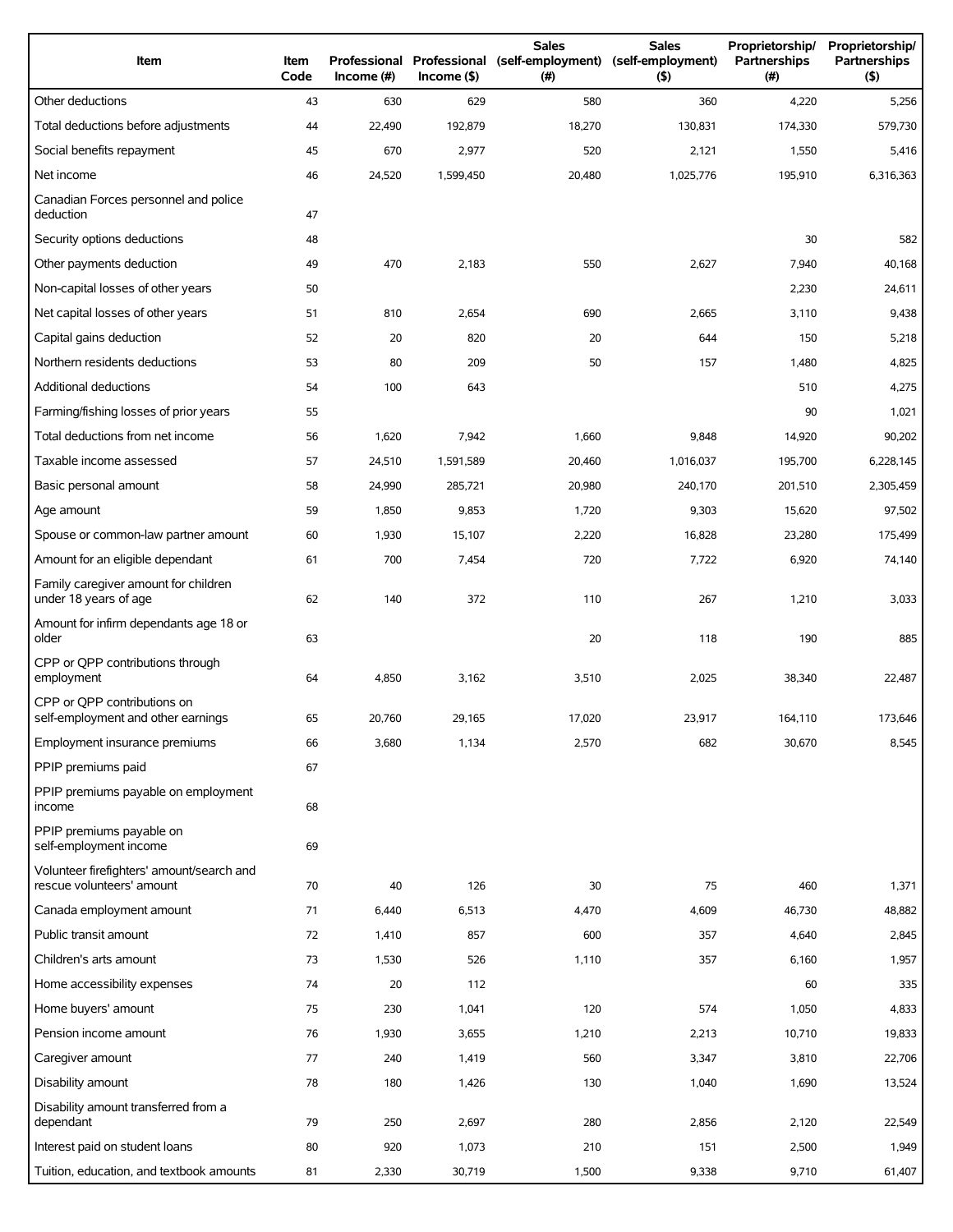| Item                                                                   | <b>Item</b><br>Code | Income (#) | Income(S) | <b>Sales</b><br>Professional Professional (self-employment) (self-employment)<br>(# ) | <b>Sales</b><br>(5) | Proprietorship/<br>Partnerships<br>(# ) | Proprietorship/<br><b>Partnerships</b><br>(5) |
|------------------------------------------------------------------------|---------------------|------------|-----------|---------------------------------------------------------------------------------------|---------------------|-----------------------------------------|-----------------------------------------------|
| Other deductions                                                       | 43                  | 630        | 629       | 580                                                                                   | 360                 | 4,220                                   | 5,256                                         |
| Total deductions before adjustments                                    | 44                  | 22,490     | 192,879   | 18,270                                                                                | 130,831             | 174,330                                 | 579.730                                       |
| Social benefits repayment                                              | 45                  | 670        | 2,977     | 520                                                                                   | 2,121               | 1,550                                   | 5,416                                         |
| Net income                                                             | 46                  | 24,520     | 1,599,450 | 20,480                                                                                | 1,025,776           | 195,910                                 | 6,316,363                                     |
| Canadian Forces personnel and police<br>deduction                      | 47                  |            |           |                                                                                       |                     |                                         |                                               |
| Security options deductions                                            | 48                  |            |           |                                                                                       |                     | 30                                      | 582                                           |
| Other payments deduction                                               | 49                  | 470        | 2,183     | 550                                                                                   | 2,627               | 7,940                                   | 40,168                                        |
| Non-capital losses of other years                                      | 50                  |            |           |                                                                                       |                     | 2,230                                   | 24,611                                        |
| Net capital losses of other years                                      | 51                  | 810        | 2,654     | 690                                                                                   | 2,665               | 3,110                                   | 9,438                                         |
| Capital gains deduction                                                | 52                  | 20         | 820       | 20                                                                                    | 644                 | 150                                     | 5,218                                         |
| Northern residents deductions                                          | 53                  | 80         | 209       | 50                                                                                    | 157                 | 1,480                                   | 4,825                                         |
| <b>Additional deductions</b>                                           | 54                  | 100        | 643       |                                                                                       |                     | 510                                     | 4,275                                         |
| Farming/fishing losses of prior years                                  | 55                  |            |           |                                                                                       |                     | 90                                      | 1,021                                         |
| Total deductions from net income                                       | 56                  | 1,620      | 7,942     | 1,660                                                                                 | 9,848               | 14,920                                  | 90,202                                        |
| Taxable income assessed                                                | 57                  | 24,510     | 1,591,589 | 20,460                                                                                | 1,016,037           | 195,700                                 | 6,228,145                                     |
| Basic personal amount                                                  | 58                  | 24,990     | 285,721   | 20,980                                                                                | 240,170             | 201,510                                 | 2,305,459                                     |
| Age amount                                                             | 59                  | 1,850      | 9,853     | 1,720                                                                                 | 9,303               | 15,620                                  | 97,502                                        |
| Spouse or common-law partner amount                                    | 60                  | 1,930      | 15,107    | 2,220                                                                                 | 16,828              | 23,280                                  | 175,499                                       |
| Amount for an eligible dependant                                       | 61                  | 700        | 7,454     | 720                                                                                   | 7,722               | 6,920                                   | 74,140                                        |
| Family caregiver amount for children<br>under 18 years of age          | 62                  | 140        | 372       | 110                                                                                   | 267                 | 1,210                                   | 3,033                                         |
| Amount for infirm dependants age 18 or<br>older                        | 63                  |            |           | 20                                                                                    | 118                 | 190                                     | 885                                           |
| CPP or QPP contributions through<br>employment                         | 64                  | 4,850      | 3,162     | 3,510                                                                                 | 2,025               | 38,340                                  | 22,487                                        |
| CPP or OPP contributions on<br>self-employment and other earnings      | 65                  | 20,760     | 29,165    | 17,020                                                                                | 23,917              | 164,110                                 | 173,646                                       |
| Employment insurance premiums                                          | 66                  | 3,680      | 1,134     | 2,570                                                                                 | 682                 | 30,670                                  | 8,545                                         |
| PPIP premiums paid                                                     | 67                  |            |           |                                                                                       |                     |                                         |                                               |
| PPIP premiums payable on employment<br>income                          | 68                  |            |           |                                                                                       |                     |                                         |                                               |
| PPIP premiums payable on<br>self-employment income                     | 69                  |            |           |                                                                                       |                     |                                         |                                               |
| Volunteer firefighters' amount/search and<br>rescue volunteers' amount | 70                  | 40         | 126       | 30                                                                                    | 75                  | 460                                     | 1,371                                         |
| Canada employment amount                                               | 71                  | 6,440      | 6,513     | 4,470                                                                                 | 4,609               | 46,730                                  | 48,882                                        |
| Public transit amount                                                  | 72                  | 1,410      | 857       | 600                                                                                   | 357                 | 4,640                                   | 2,845                                         |
| Children's arts amount                                                 | 73                  | 1,530      | 526       | 1,110                                                                                 | 357                 | 6,160                                   | 1,957                                         |
| Home accessibility expenses                                            | 74                  | 20         | 112       |                                                                                       |                     | 60                                      | 335                                           |
| Home buyers' amount                                                    | 75                  | 230        | 1,041     | 120                                                                                   | 574                 | 1,050                                   | 4,833                                         |
| Pension income amount                                                  | 76                  | 1,930      | 3,655     | 1,210                                                                                 | 2,213               | 10,710                                  | 19,833                                        |
| Caregiver amount                                                       | 77                  | 240        | 1,419     | 560                                                                                   | 3,347               | 3,810                                   | 22,706                                        |
| Disability amount                                                      | 78                  | 180        | 1,426     | 130                                                                                   | 1,040               | 1,690                                   | 13,524                                        |
| Disability amount transferred from a<br>dependant                      | 79                  | 250        | 2,697     | 280                                                                                   | 2,856               | 2,120                                   | 22,549                                        |
| Interest paid on student loans                                         | 80                  | 920        | 1,073     | 210                                                                                   | 151                 | 2,500                                   | 1,949                                         |
| Tuition, education, and textbook amounts                               | 81                  | 2,330      | 30,719    | 1,500                                                                                 | 9,338               | 9,710                                   | 61,407                                        |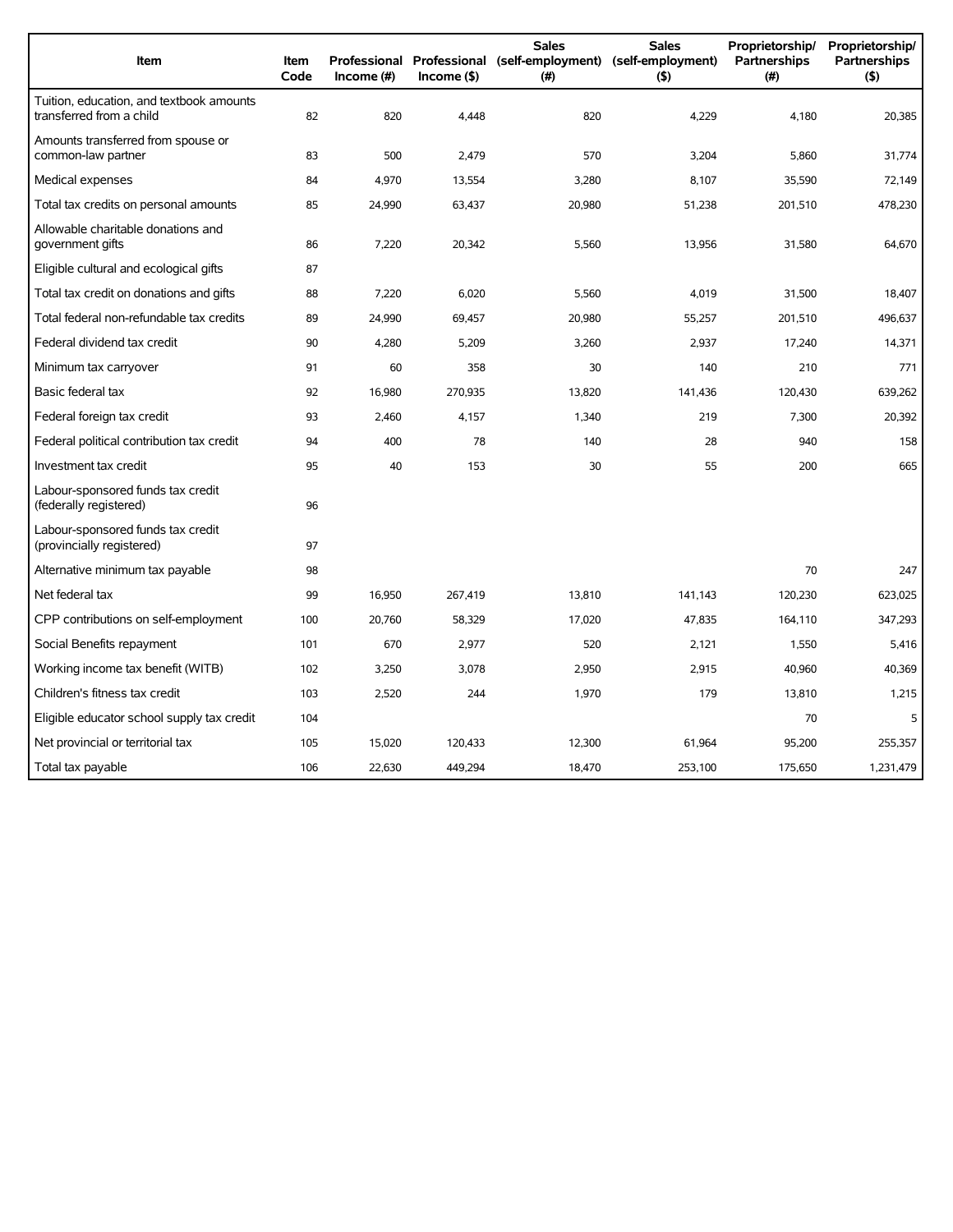| Item                                                                 | <b>Item</b><br>Code | Income $(\#)$ | $Income($ \$) | <b>Sales</b><br>Professional Professional (self-employment) (self-employment)<br>(#) | <b>Sales</b><br>(5) | Proprietorship/<br>Partnerships<br>(#) | Proprietorship/<br><b>Partnerships</b><br>(5) |
|----------------------------------------------------------------------|---------------------|---------------|---------------|--------------------------------------------------------------------------------------|---------------------|----------------------------------------|-----------------------------------------------|
| Tuition, education, and textbook amounts<br>transferred from a child | 82                  | 820           | 4,448         | 820                                                                                  | 4,229               | 4,180                                  | 20,385                                        |
| Amounts transferred from spouse or<br>common-law partner             | 83                  | 500           | 2,479         | 570                                                                                  | 3,204               | 5.860                                  | 31,774                                        |
| Medical expenses                                                     | 84                  | 4,970         | 13,554        | 3,280                                                                                | 8,107               | 35,590                                 | 72,149                                        |
| Total tax credits on personal amounts                                | 85                  | 24,990        | 63,437        | 20,980                                                                               | 51,238              | 201,510                                | 478,230                                       |
| Allowable charitable donations and<br>government gifts               | 86                  | 7,220         | 20,342        | 5,560                                                                                | 13,956              | 31,580                                 | 64,670                                        |
| Eligible cultural and ecological gifts                               | 87                  |               |               |                                                                                      |                     |                                        |                                               |
| Total tax credit on donations and gifts                              | 88                  | 7,220         | 6,020         | 5,560                                                                                | 4,019               | 31,500                                 | 18,407                                        |
| Total federal non-refundable tax credits                             | 89                  | 24,990        | 69,457        | 20,980                                                                               | 55,257              | 201,510                                | 496,637                                       |
| Federal dividend tax credit                                          | 90                  | 4,280         | 5,209         | 3,260                                                                                | 2,937               | 17,240                                 | 14,371                                        |
| Minimum tax carryover                                                | 91                  | 60            | 358           | 30                                                                                   | 140                 | 210                                    | 771                                           |
| Basic federal tax                                                    | 92                  | 16,980        | 270,935       | 13,820                                                                               | 141,436             | 120,430                                | 639,262                                       |
| Federal foreign tax credit                                           | 93                  | 2,460         | 4,157         | 1,340                                                                                | 219                 | 7,300                                  | 20,392                                        |
| Federal political contribution tax credit                            | 94                  | 400           | 78            | 140                                                                                  | 28                  | 940                                    | 158                                           |
| Investment tax credit                                                | 95                  | 40            | 153           | 30                                                                                   | 55                  | 200                                    | 665                                           |
| Labour-sponsored funds tax credit<br>(federally registered)          | 96                  |               |               |                                                                                      |                     |                                        |                                               |
| Labour-sponsored funds tax credit<br>(provincially registered)       | 97                  |               |               |                                                                                      |                     |                                        |                                               |
| Alternative minimum tax payable                                      | 98                  |               |               |                                                                                      |                     | 70                                     | 247                                           |
| Net federal tax                                                      | 99                  | 16,950        | 267,419       | 13,810                                                                               | 141,143             | 120,230                                | 623,025                                       |
| CPP contributions on self-employment                                 | 100                 | 20,760        | 58,329        | 17,020                                                                               | 47,835              | 164,110                                | 347,293                                       |
| Social Benefits repayment                                            | 101                 | 670           | 2,977         | 520                                                                                  | 2,121               | 1,550                                  | 5,416                                         |
| Working income tax benefit (WITB)                                    | 102                 | 3,250         | 3,078         | 2,950                                                                                | 2,915               | 40,960                                 | 40,369                                        |
| Children's fitness tax credit                                        | 103                 | 2,520         | 244           | 1,970                                                                                | 179                 | 13,810                                 | 1,215                                         |
| Eligible educator school supply tax credit                           | 104                 |               |               |                                                                                      |                     | 70                                     | 5                                             |
| Net provincial or territorial tax                                    | 105                 | 15,020        | 120,433       | 12,300                                                                               | 61,964              | 95,200                                 | 255.357                                       |
| Total tax payable                                                    | 106                 | 22,630        | 449,294       | 18,470                                                                               | 253,100             | 175,650                                | 1,231,479                                     |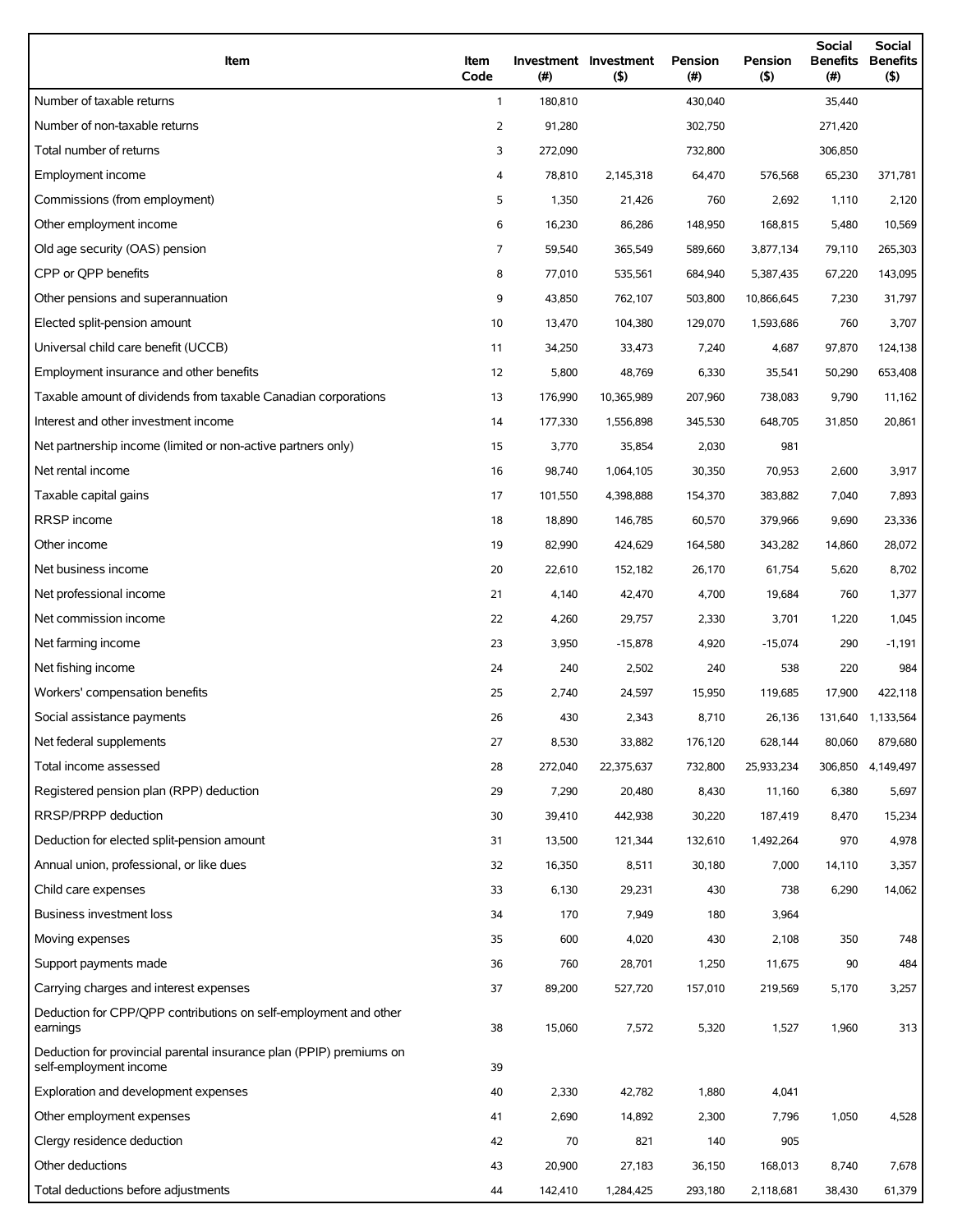| Item                                                                                          | Item<br>Code   | (#)     | Investment Investment<br>(5) | <b>Pension</b><br>(#) | Pension<br>(5) | Social<br><b>Benefits</b><br>(#) | Social<br><b>Benefits</b><br>(5) |
|-----------------------------------------------------------------------------------------------|----------------|---------|------------------------------|-----------------------|----------------|----------------------------------|----------------------------------|
| Number of taxable returns                                                                     | $\mathbf{1}$   | 180,810 |                              | 430,040               |                | 35,440                           |                                  |
| Number of non-taxable returns                                                                 | $\overline{2}$ | 91,280  |                              | 302,750               |                | 271,420                          |                                  |
| Total number of returns                                                                       | 3              | 272,090 |                              | 732,800               |                | 306,850                          |                                  |
| Employment income                                                                             | 4              | 78,810  | 2,145,318                    | 64,470                | 576,568        | 65,230                           | 371,781                          |
| Commissions (from employment)                                                                 | 5              | 1,350   | 21,426                       | 760                   | 2,692          | 1,110                            | 2,120                            |
| Other employment income                                                                       | 6              | 16,230  | 86,286                       | 148,950               | 168,815        | 5,480                            | 10,569                           |
| Old age security (OAS) pension                                                                | 7              | 59,540  | 365,549                      | 589,660               | 3,877,134      | 79,110                           | 265,303                          |
| CPP or OPP benefits                                                                           | 8              | 77,010  | 535,561                      | 684,940               | 5,387,435      | 67,220                           | 143,095                          |
| Other pensions and superannuation                                                             | 9              | 43,850  | 762,107                      | 503,800               | 10,866,645     | 7,230                            | 31,797                           |
| Elected split-pension amount                                                                  | 10             | 13,470  | 104,380                      | 129,070               | 1,593,686      | 760                              | 3,707                            |
| Universal child care benefit (UCCB)                                                           | 11             | 34,250  | 33,473                       | 7,240                 | 4,687          | 97,870                           | 124,138                          |
| Employment insurance and other benefits                                                       | 12             | 5,800   | 48,769                       | 6,330                 | 35,541         | 50,290                           | 653,408                          |
| Taxable amount of dividends from taxable Canadian corporations                                | 13             | 176,990 | 10,365,989                   | 207,960               | 738,083        | 9,790                            | 11,162                           |
| Interest and other investment income                                                          | 14             | 177,330 | 1,556,898                    | 345,530               | 648,705        | 31,850                           | 20,861                           |
| Net partnership income (limited or non-active partners only)                                  | 15             | 3,770   | 35,854                       | 2,030                 | 981            |                                  |                                  |
| Net rental income                                                                             | 16             | 98,740  | 1,064,105                    | 30,350                | 70,953         | 2,600                            | 3,917                            |
| Taxable capital gains                                                                         | 17             | 101,550 | 4,398,888                    | 154,370               | 383,882        | 7,040                            | 7,893                            |
| RRSP income                                                                                   | 18             | 18,890  | 146,785                      | 60,570                | 379,966        | 9,690                            | 23,336                           |
| Other income                                                                                  | 19             | 82,990  | 424,629                      | 164,580               | 343,282        | 14,860                           | 28,072                           |
| Net business income                                                                           | 20             | 22,610  | 152,182                      | 26,170                | 61,754         | 5,620                            | 8,702                            |
| Net professional income                                                                       | 21             | 4,140   | 42,470                       | 4,700                 | 19,684         | 760                              | 1,377                            |
| Net commission income                                                                         | 22             | 4,260   | 29,757                       | 2,330                 | 3,701          | 1,220                            | 1,045                            |
| Net farming income                                                                            | 23             | 3,950   | $-15,878$                    | 4,920                 | $-15,074$      | 290                              | $-1,191$                         |
| Net fishing income                                                                            | 24             | 240     | 2,502                        | 240                   | 538            | 220                              | 984                              |
| Workers' compensation benefits                                                                | 25             | 2,740   | 24,597                       | 15,950                | 119,685        | 17,900                           | 422,118                          |
| Social assistance payments                                                                    | 26             | 430     | 2,343                        | 8,710                 | 26,136         | 131,640                          | 1,133,564                        |
| Net federal supplements                                                                       | 27             | 8,530   | 33,882                       | 176,120               | 628,144        | 80,060                           | 879,680                          |
| Total income assessed                                                                         | 28             | 272,040 | 22,375,637                   | 732,800               | 25,933,234     | 306,850                          | 4,149,497                        |
| Registered pension plan (RPP) deduction                                                       | 29             | 7,290   | 20,480                       | 8,430                 | 11,160         | 6,380                            | 5,697                            |
| RRSP/PRPP deduction                                                                           | 30             | 39,410  | 442,938                      | 30,220                | 187,419        | 8,470                            | 15,234                           |
| Deduction for elected split-pension amount                                                    | 31             | 13,500  | 121,344                      | 132,610               | 1,492,264      | 970                              | 4,978                            |
| Annual union, professional, or like dues                                                      | 32             | 16,350  | 8,511                        | 30,180                | 7,000          | 14,110                           | 3,357                            |
| Child care expenses                                                                           | 33             | 6,130   | 29,231                       | 430                   | 738            | 6,290                            | 14,062                           |
| Business investment loss                                                                      | 34             | 170     | 7,949                        | 180                   | 3,964          |                                  |                                  |
| Moving expenses                                                                               | 35             | 600     | 4,020                        | 430                   | 2,108          | 350                              | 748                              |
| Support payments made                                                                         | 36             | 760     | 28,701                       | 1,250                 | 11,675         | 90                               | 484                              |
| Carrying charges and interest expenses                                                        | 37             | 89,200  | 527,720                      | 157,010               | 219,569        | 5,170                            | 3,257                            |
| Deduction for CPP/QPP contributions on self-employment and other<br>earnings                  | 38             | 15,060  | 7,572                        | 5,320                 | 1,527          | 1,960                            | 313                              |
| Deduction for provincial parental insurance plan (PPIP) premiums on<br>self-employment income | 39             |         |                              |                       |                |                                  |                                  |
| Exploration and development expenses                                                          | 40             | 2,330   | 42,782                       | 1,880                 | 4,041          |                                  |                                  |
| Other employment expenses                                                                     | 41             | 2,690   | 14,892                       | 2,300                 | 7,796          | 1,050                            | 4,528                            |
| Clergy residence deduction                                                                    | 42             | 70      | 821                          | 140                   | 905            |                                  |                                  |
| Other deductions                                                                              | 43             | 20,900  | 27,183                       | 36,150                | 168,013        | 8,740                            | 7,678                            |
| Total deductions before adjustments                                                           | 44             | 142,410 | 1,284,425                    | 293,180               | 2,118,681      | 38,430                           | 61,379                           |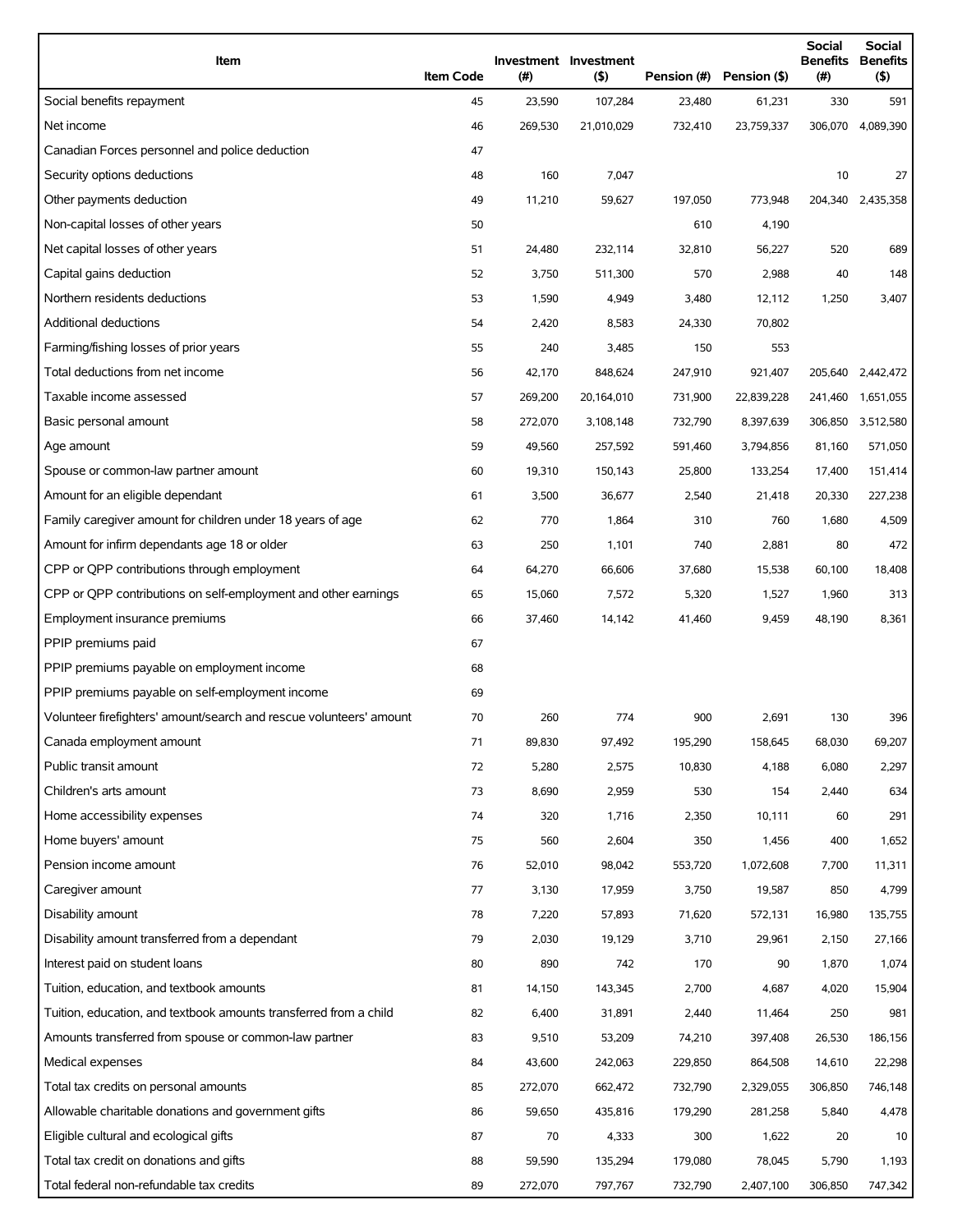| Item                                                                | <b>Item Code</b> | $(\#)$  | Investment Investment<br>$($ \$) | Pension (#) | Pension (\$) | <b>Social</b><br>(#) | <b>Social</b><br><b>Benefits Benefits</b><br>(\$) |
|---------------------------------------------------------------------|------------------|---------|----------------------------------|-------------|--------------|----------------------|---------------------------------------------------|
| Social benefits repayment                                           | 45               | 23,590  | 107,284                          | 23,480      | 61,231       | 330                  | 591                                               |
| Net income                                                          | 46               | 269,530 | 21,010,029                       | 732,410     | 23,759,337   | 306,070              | 4,089,390                                         |
| Canadian Forces personnel and police deduction                      | 47               |         |                                  |             |              |                      |                                                   |
| Security options deductions                                         | 48               | 160     | 7,047                            |             |              | 10                   | 27                                                |
| Other payments deduction                                            | 49               | 11,210  | 59,627                           | 197,050     | 773,948      |                      | 204,340 2,435,358                                 |
| Non-capital losses of other years                                   | 50               |         |                                  | 610         | 4,190        |                      |                                                   |
| Net capital losses of other years                                   | 51               | 24,480  | 232,114                          | 32,810      | 56,227       | 520                  | 689                                               |
| Capital gains deduction                                             | 52               | 3,750   | 511,300                          | 570         | 2,988        | 40                   | 148                                               |
| Northern residents deductions                                       | 53               | 1,590   | 4,949                            | 3,480       | 12,112       | 1,250                | 3,407                                             |
| Additional deductions                                               | 54               | 2,420   | 8,583                            | 24,330      | 70,802       |                      |                                                   |
| Farming/fishing losses of prior years                               | 55               | 240     | 3,485                            | 150         | 553          |                      |                                                   |
| Total deductions from net income                                    | 56               | 42,170  | 848,624                          | 247,910     | 921,407      | 205,640              | 2,442,472                                         |
| Taxable income assessed                                             | 57               | 269,200 | 20,164,010                       | 731,900     | 22,839,228   | 241,460              | 1,651,055                                         |
| Basic personal amount                                               | 58               | 272,070 | 3,108,148                        | 732,790     | 8,397,639    | 306,850              | 3,512,580                                         |
| Age amount                                                          | 59               | 49,560  | 257,592                          | 591,460     | 3,794,856    | 81,160               | 571,050                                           |
| Spouse or common-law partner amount                                 | 60               | 19,310  | 150,143                          | 25,800      | 133,254      | 17,400               | 151,414                                           |
| Amount for an eligible dependant                                    | 61               | 3,500   | 36,677                           | 2,540       | 21,418       | 20,330               | 227,238                                           |
| Family caregiver amount for children under 18 years of age          | 62               | 770     | 1,864                            | 310         | 760          | 1,680                | 4,509                                             |
| Amount for infirm dependants age 18 or older                        | 63               | 250     | 1,101                            | 740         | 2,881        | 80                   | 472                                               |
| CPP or QPP contributions through employment                         | 64               | 64,270  | 66,606                           | 37,680      | 15,538       | 60,100               | 18,408                                            |
| CPP or QPP contributions on self-employment and other earnings      | 65               | 15,060  | 7,572                            | 5,320       | 1,527        | 1,960                | 313                                               |
| Employment insurance premiums                                       | 66               | 37,460  | 14,142                           | 41,460      | 9,459        | 48,190               | 8,361                                             |
| PPIP premiums paid                                                  | 67               |         |                                  |             |              |                      |                                                   |
| PPIP premiums payable on employment income                          | 68               |         |                                  |             |              |                      |                                                   |
| PPIP premiums payable on self-employment income                     | 69               |         |                                  |             |              |                      |                                                   |
| Volunteer firefighters' amount/search and rescue volunteers' amount | 70               | 260     | 774                              | 900         | 2,691        | 130                  | 396                                               |
| Canada employment amount                                            | 71               | 89,830  | 97,492                           | 195,290     | 158,645      | 68,030               | 69,207                                            |
| Public transit amount                                               | 72               | 5,280   | 2,575                            | 10,830      | 4,188        | 6,080                | 2,297                                             |
| Children's arts amount                                              | 73               | 8,690   | 2,959                            | 530         | 154          | 2,440                | 634                                               |
| Home accessibility expenses                                         | 74               | 320     | 1,716                            | 2,350       | 10,111       | 60                   | 291                                               |
| Home buyers' amount                                                 | 75               | 560     | 2,604                            | 350         | 1,456        | 400                  | 1,652                                             |
| Pension income amount                                               | 76               | 52,010  | 98,042                           | 553,720     | 1,072,608    | 7,700                | 11,311                                            |
| Caregiver amount                                                    | 77               | 3,130   | 17,959                           | 3,750       | 19,587       | 850                  | 4,799                                             |
| Disability amount                                                   | 78               | 7,220   | 57,893                           | 71,620      | 572,131      | 16,980               | 135,755                                           |
| Disability amount transferred from a dependant                      | 79               | 2,030   | 19,129                           | 3,710       | 29,961       | 2,150                | 27,166                                            |
| Interest paid on student loans                                      | 80               | 890     | 742                              | 170         | 90           | 1,870                | 1,074                                             |
| Tuition, education, and textbook amounts                            | 81               | 14,150  | 143,345                          | 2,700       | 4,687        | 4,020                | 15,904                                            |
| Tuition, education, and textbook amounts transferred from a child   | 82               | 6,400   | 31,891                           | 2,440       | 11,464       | 250                  | 981                                               |
| Amounts transferred from spouse or common-law partner               | 83               | 9,510   | 53,209                           | 74,210      | 397,408      | 26,530               | 186,156                                           |
| Medical expenses                                                    | 84               | 43,600  | 242,063                          | 229,850     | 864,508      | 14,610               | 22,298                                            |
| Total tax credits on personal amounts                               | 85               | 272,070 | 662,472                          | 732,790     | 2,329,055    | 306,850              | 746,148                                           |
| Allowable charitable donations and government gifts                 | 86               | 59,650  | 435,816                          | 179,290     | 281,258      | 5,840                | 4,478                                             |
| Eligible cultural and ecological gifts                              | 87               | 70      | 4,333                            | 300         | 1,622        | 20                   | 10                                                |
| Total tax credit on donations and gifts                             | 88               | 59,590  | 135,294                          | 179,080     | 78,045       | 5,790                | 1,193                                             |
| Total federal non-refundable tax credits                            | 89               | 272,070 | 797,767                          | 732,790     | 2,407,100    | 306,850              | 747,342                                           |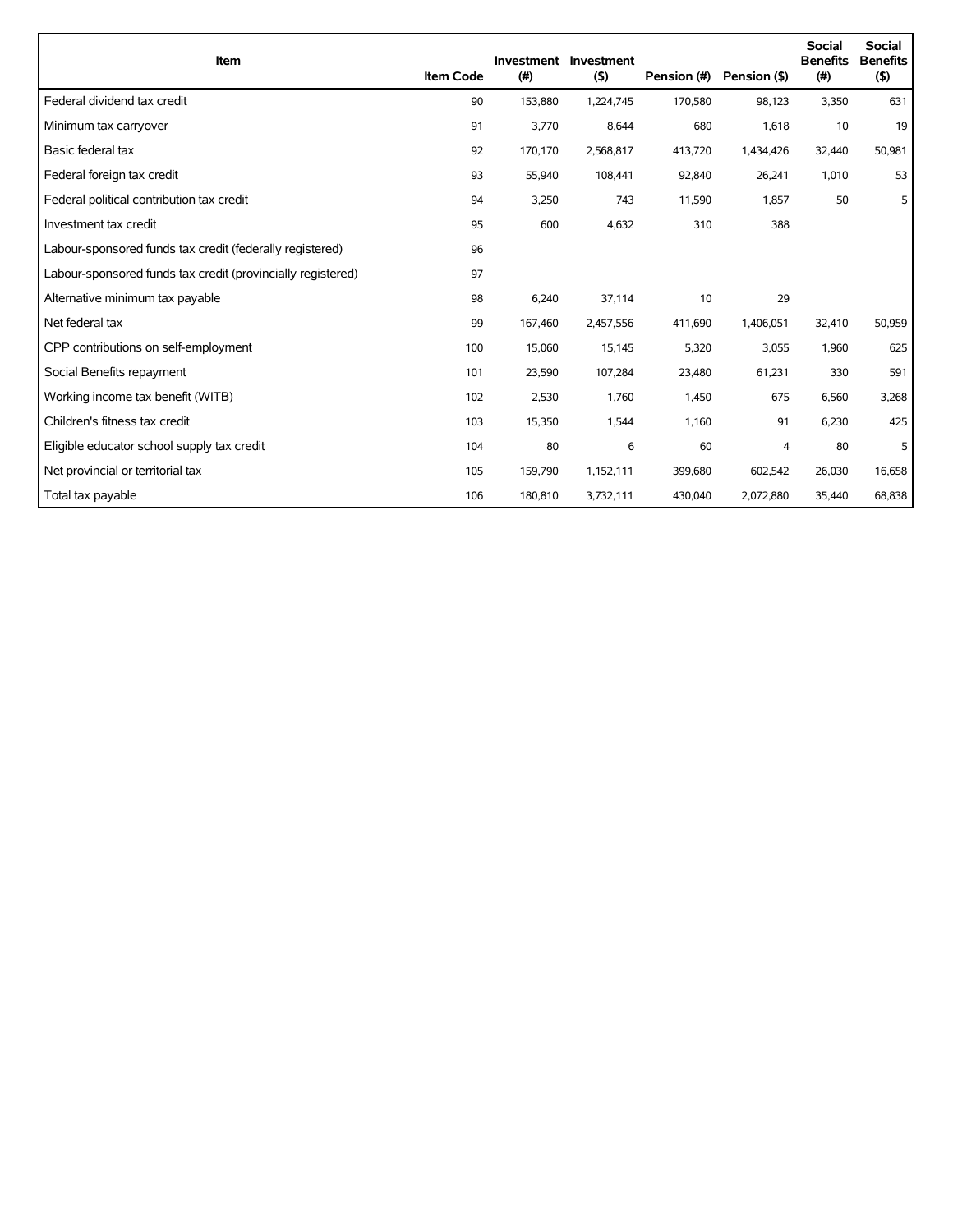| Item                                                        | <b>Item Code</b> | (#)     | Investment Investment<br>(5) | Pension (#) | Pension (\$) | <b>Social</b><br><b>Benefits</b><br>(#) | <b>Social</b><br><b>Benefits</b><br>(5) |
|-------------------------------------------------------------|------------------|---------|------------------------------|-------------|--------------|-----------------------------------------|-----------------------------------------|
| Federal dividend tax credit                                 | 90               | 153,880 | 1,224,745                    | 170,580     | 98,123       | 3,350                                   | 631                                     |
| Minimum tax carryover                                       | 91               | 3,770   | 8,644                        | 680         | 1,618        | 10                                      | 19                                      |
| Basic federal tax                                           | 92               | 170,170 | 2,568,817                    | 413,720     | 1,434,426    | 32,440                                  | 50,981                                  |
| Federal foreign tax credit                                  | 93               | 55,940  | 108,441                      | 92,840      | 26,241       | 1,010                                   | 53                                      |
| Federal political contribution tax credit                   | 94               | 3,250   | 743                          | 11,590      | 1,857        | 50                                      | 5                                       |
| Investment tax credit                                       | 95               | 600     | 4,632                        | 310         | 388          |                                         |                                         |
| Labour-sponsored funds tax credit (federally registered)    | 96               |         |                              |             |              |                                         |                                         |
| Labour-sponsored funds tax credit (provincially registered) | 97               |         |                              |             |              |                                         |                                         |
| Alternative minimum tax payable                             | 98               | 6,240   | 37,114                       | 10          | 29           |                                         |                                         |
| Net federal tax                                             | 99               | 167,460 | 2,457,556                    | 411,690     | 1,406,051    | 32,410                                  | 50,959                                  |
| CPP contributions on self-employment                        | 100              | 15,060  | 15,145                       | 5,320       | 3,055        | 1,960                                   | 625                                     |
| Social Benefits repayment                                   | 101              | 23,590  | 107,284                      | 23,480      | 61,231       | 330                                     | 591                                     |
| Working income tax benefit (WITB)                           | 102              | 2,530   | 1,760                        | 1,450       | 675          | 6,560                                   | 3,268                                   |
| Children's fitness tax credit                               | 103              | 15,350  | 1,544                        | 1,160       | 91           | 6,230                                   | 425                                     |
| Eligible educator school supply tax credit                  | 104              | 80      | 6                            | 60          | 4            | 80                                      | 5                                       |
| Net provincial or territorial tax                           | 105              | 159,790 | 1,152,111                    | 399,680     | 602,542      | 26,030                                  | 16,658                                  |
| Total tax payable                                           | 106              | 180,810 | 3,732,111                    | 430,040     | 2,072,880    | 35,440                                  | 68,838                                  |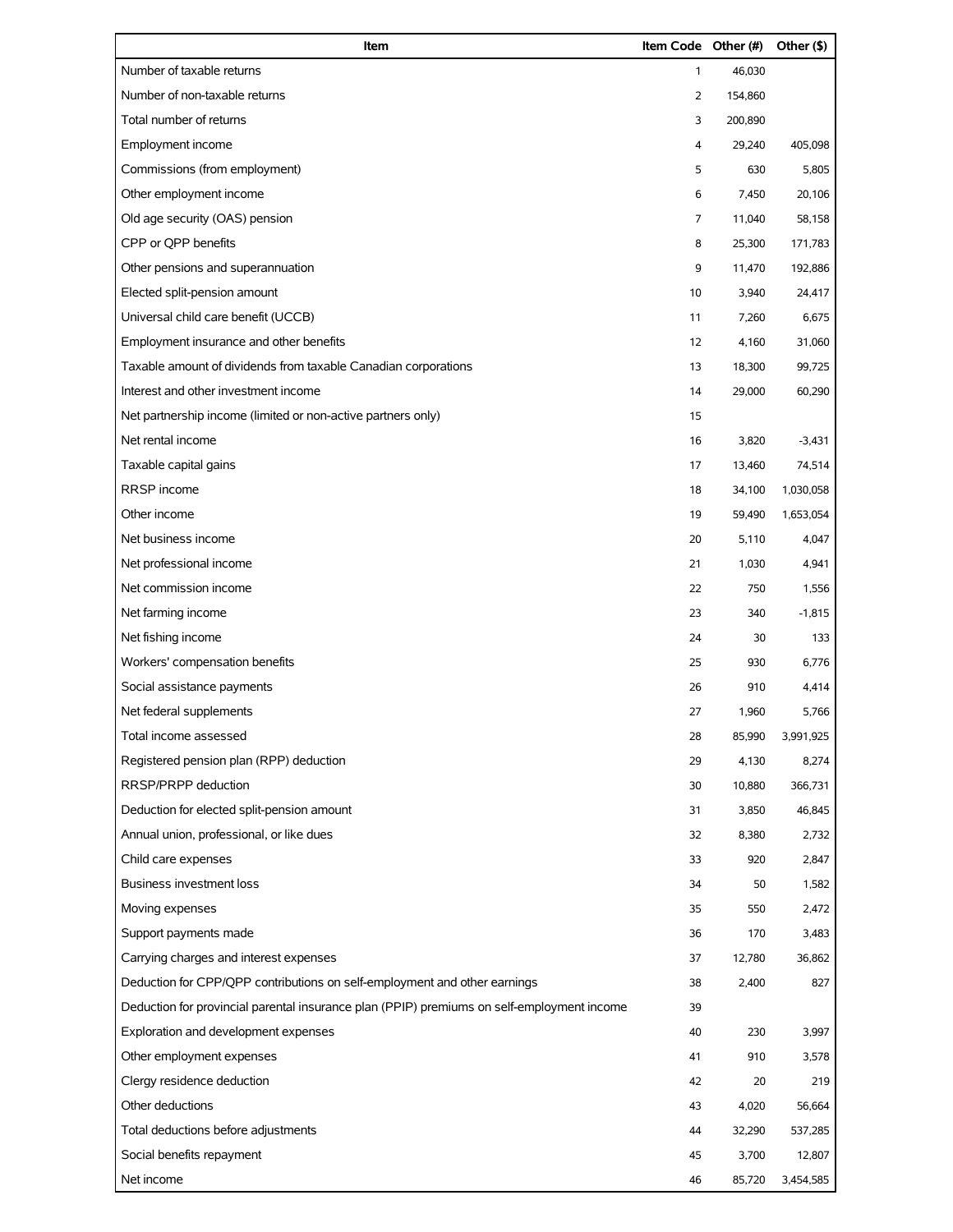| Item                                                                                       | Item Code Other (#) |         | Other (\$) |
|--------------------------------------------------------------------------------------------|---------------------|---------|------------|
| Number of taxable returns                                                                  | $\mathbf{1}$        | 46,030  |            |
| Number of non-taxable returns                                                              | $\overline{2}$      | 154,860 |            |
| Total number of returns                                                                    | 3                   | 200,890 |            |
| Employment income                                                                          | 4                   | 29,240  | 405,098    |
| Commissions (from employment)                                                              | 5                   | 630     | 5,805      |
| Other employment income                                                                    | 6                   | 7,450   | 20,106     |
| Old age security (OAS) pension                                                             | 7                   | 11,040  | 58,158     |
| CPP or OPP benefits                                                                        | 8                   | 25,300  | 171,783    |
| Other pensions and superannuation                                                          | 9                   | 11,470  | 192,886    |
| Elected split-pension amount                                                               | 10                  | 3,940   | 24,417     |
| Universal child care benefit (UCCB)                                                        | 11                  | 7,260   | 6,675      |
| Employment insurance and other benefits                                                    | 12                  | 4,160   | 31,060     |
| Taxable amount of dividends from taxable Canadian corporations                             | 13                  | 18,300  | 99,725     |
| Interest and other investment income                                                       | 14                  | 29,000  | 60,290     |
| Net partnership income (limited or non-active partners only)                               | 15                  |         |            |
| Net rental income                                                                          | 16                  | 3,820   | $-3,431$   |
| Taxable capital gains                                                                      | 17                  | 13,460  | 74,514     |
| RRSP income                                                                                | 18                  | 34,100  | 1,030,058  |
| Other income                                                                               | 19                  | 59,490  | 1,653,054  |
| Net business income                                                                        | 20                  | 5,110   | 4,047      |
| Net professional income                                                                    | 21                  | 1,030   | 4,941      |
| Net commission income                                                                      | 22                  | 750     | 1,556      |
| Net farming income                                                                         | 23                  | 340     | $-1,815$   |
| Net fishing income                                                                         | 24                  | 30      | 133        |
| Workers' compensation benefits                                                             | 25                  | 930     | 6,776      |
| Social assistance payments                                                                 | 26                  | 910     | 4,414      |
| Net federal supplements                                                                    | 27                  | 1,960   | 5,766      |
| Total income assessed                                                                      | 28                  | 85,990  | 3,991,925  |
| Registered pension plan (RPP) deduction                                                    | 29                  | 4,130   | 8,274      |
| RRSP/PRPP deduction                                                                        | 30                  | 10,880  | 366,731    |
| Deduction for elected split-pension amount                                                 | 31                  | 3,850   | 46,845     |
| Annual union, professional, or like dues                                                   | 32                  | 8,380   | 2,732      |
| Child care expenses                                                                        | 33                  | 920     | 2,847      |
| <b>Business investment loss</b>                                                            | 34                  | 50      | 1,582      |
| Moving expenses                                                                            | 35                  | 550     | 2,472      |
| Support payments made                                                                      | 36                  | 170     | 3,483      |
| Carrying charges and interest expenses                                                     | 37                  | 12,780  | 36,862     |
| Deduction for CPP/QPP contributions on self-employment and other earnings                  | 38                  | 2,400   | 827        |
| Deduction for provincial parental insurance plan (PPIP) premiums on self-employment income | 39                  |         |            |
| Exploration and development expenses                                                       | 40                  | 230     | 3,997      |
| Other employment expenses                                                                  | 41                  | 910     | 3,578      |
| Clergy residence deduction                                                                 | 42                  | 20      | 219        |
| Other deductions                                                                           | 43                  | 4,020   | 56,664     |
| Total deductions before adjustments                                                        | 44                  | 32,290  | 537,285    |
| Social benefits repayment                                                                  | 45                  | 3,700   | 12,807     |
| Net income                                                                                 | 46                  | 85,720  | 3,454,585  |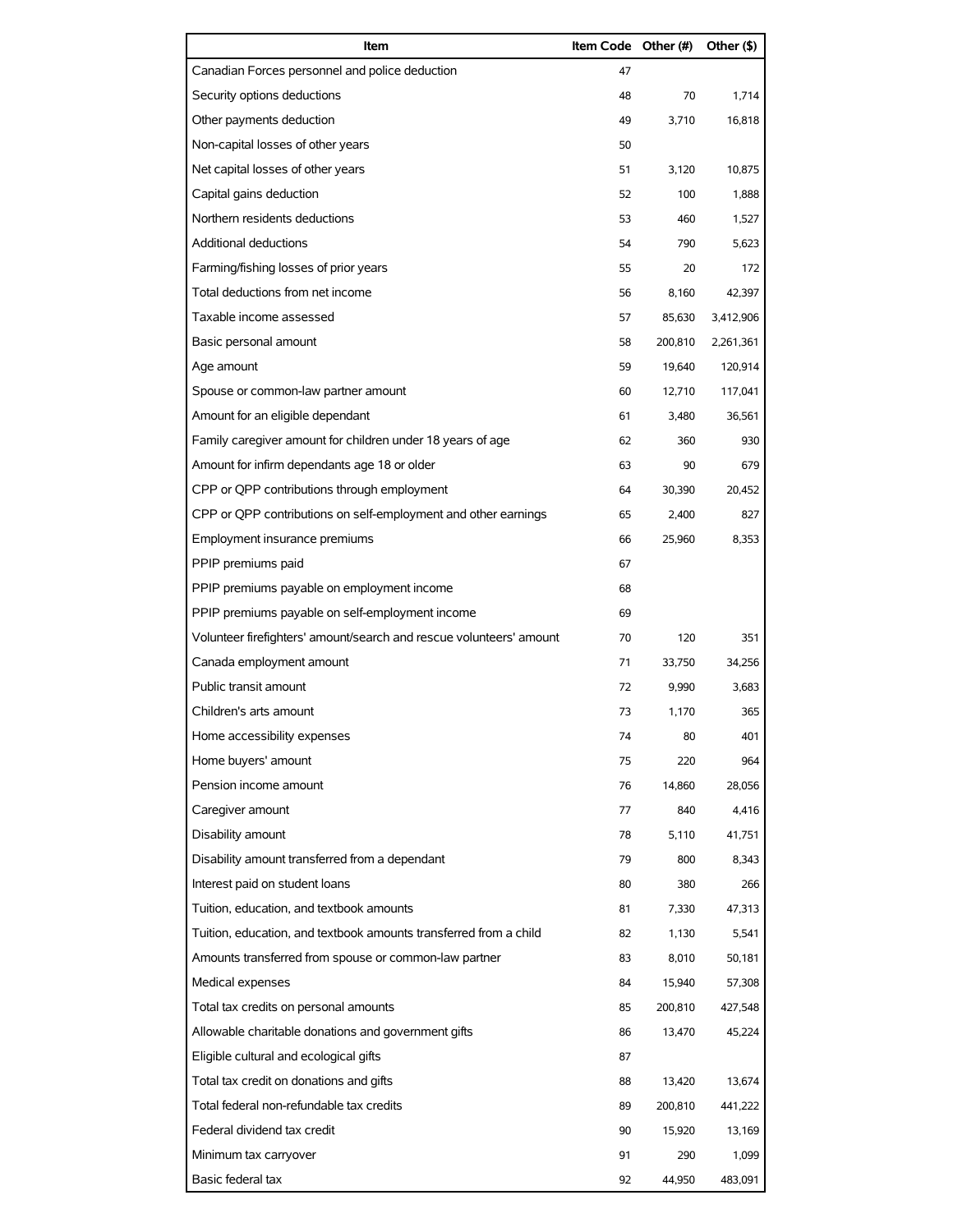| Item                                                                | Item Code Other (#) |         | Other (\$) |
|---------------------------------------------------------------------|---------------------|---------|------------|
| Canadian Forces personnel and police deduction                      | 47                  |         |            |
| Security options deductions                                         | 48                  | 70      | 1,714      |
| Other payments deduction                                            | 49                  | 3,710   | 16,818     |
| Non-capital losses of other years                                   | 50                  |         |            |
| Net capital losses of other years                                   | 51                  | 3,120   | 10,875     |
| Capital gains deduction                                             | 52                  | 100     | 1,888      |
| Northern residents deductions                                       | 53                  | 460     | 1,527      |
| <b>Additional deductions</b>                                        | 54                  | 790     | 5,623      |
| Farming/fishing losses of prior years                               | 55                  | 20      | 172        |
| Total deductions from net income                                    | 56                  | 8,160   | 42,397     |
| Taxable income assessed                                             | 57                  | 85,630  | 3,412,906  |
| Basic personal amount                                               | 58                  | 200,810 | 2,261,361  |
| Age amount                                                          | 59                  | 19,640  | 120,914    |
| Spouse or common-law partner amount                                 | 60                  | 12,710  | 117,041    |
| Amount for an eligible dependant                                    | 61                  | 3,480   | 36,561     |
| Family caregiver amount for children under 18 years of age          | 62                  | 360     | 930        |
| Amount for infirm dependants age 18 or older                        | 63                  | 90      | 679        |
| CPP or QPP contributions through employment                         | 64                  | 30,390  | 20,452     |
| CPP or QPP contributions on self-employment and other earnings      | 65                  | 2,400   | 827        |
| Employment insurance premiums                                       | 66                  | 25,960  | 8,353      |
| PPIP premiums paid                                                  | 67                  |         |            |
| PPIP premiums payable on employment income                          | 68                  |         |            |
| PPIP premiums payable on self-employment income                     | 69                  |         |            |
| Volunteer firefighters' amount/search and rescue volunteers' amount | 70                  | 120     | 351        |
| Canada employment amount                                            | 71                  | 33,750  | 34,256     |
| Public transit amount                                               | 72                  | 9,990   | 3,683      |
| Children's arts amount                                              | 73                  | 1,170   | 365        |
| Home accessibility expenses                                         | 74                  | 80      | 401        |
| Home buyers' amount                                                 | 75                  | 220     | 964        |
| Pension income amount                                               | 76                  | 14,860  | 28,056     |
| Caregiver amount                                                    | 77                  | 840     | 4,416      |
| Disability amount                                                   | 78                  | 5,110   | 41,751     |
| Disability amount transferred from a dependant                      | 79                  | 800     | 8,343      |
| Interest paid on student loans                                      | 80                  | 380     | 266        |
| Tuition, education, and textbook amounts                            | 81                  | 7,330   | 47,313     |
| Tuition, education, and textbook amounts transferred from a child   | 82                  | 1,130   | 5,541      |
| Amounts transferred from spouse or common-law partner               | 83                  | 8,010   | 50,181     |
| Medical expenses                                                    | 84                  | 15,940  | 57,308     |
| Total tax credits on personal amounts                               | 85                  | 200,810 | 427,548    |
| Allowable charitable donations and government gifts                 | 86                  | 13,470  | 45,224     |
| Eligible cultural and ecological gifts                              | 87                  |         |            |
| Total tax credit on donations and gifts                             | 88                  | 13,420  | 13,674     |
| Total federal non-refundable tax credits                            | 89                  | 200,810 | 441,222    |
| Federal dividend tax credit                                         | 90                  | 15,920  | 13,169     |
| Minimum tax carryover                                               | 91                  | 290     | 1,099      |
| Basic federal tax                                                   | 92                  | 44,950  | 483,091    |